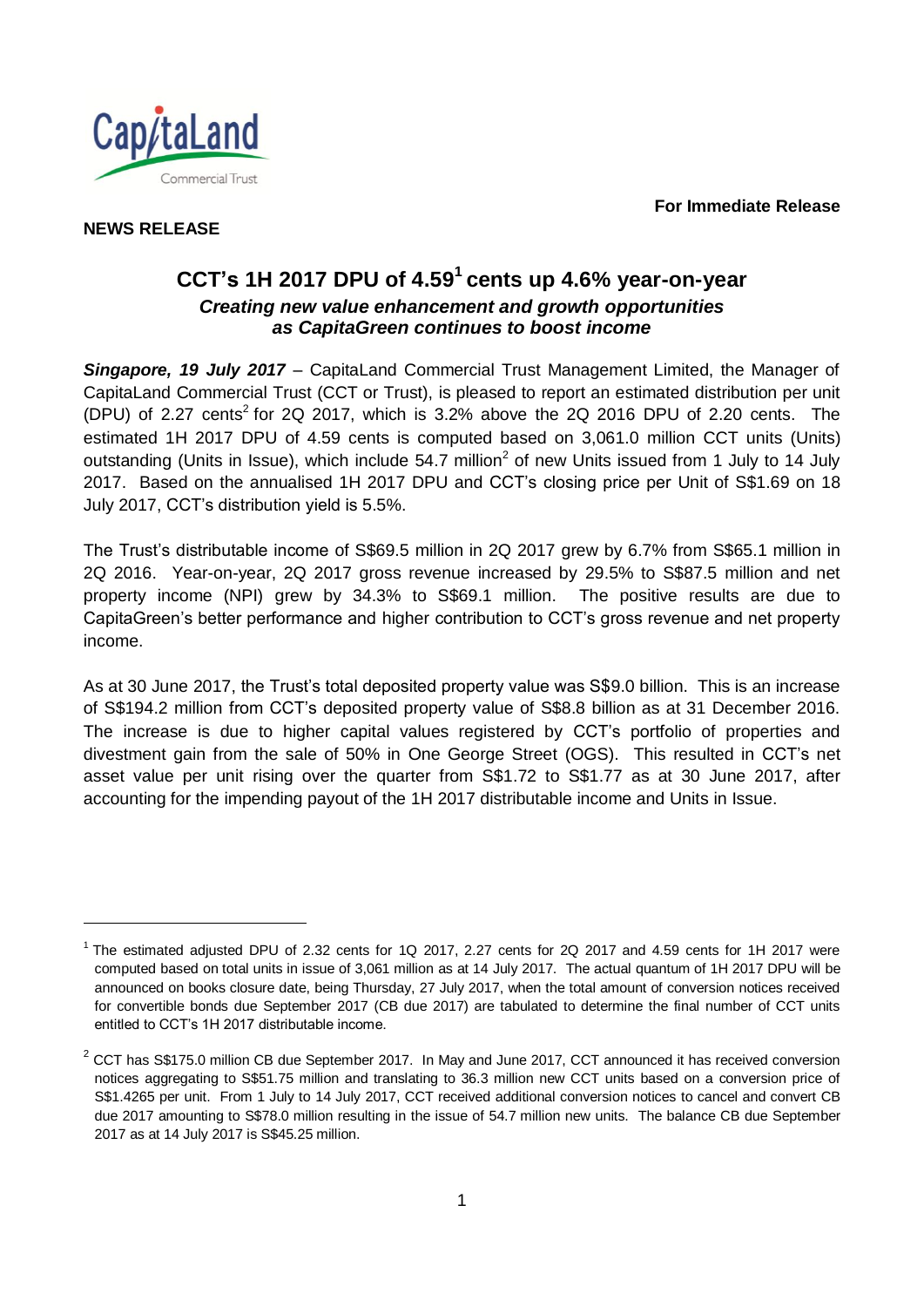**For Immediate Release**



**NEWS RELEASE** 

l

# <span id="page-0-0"></span>**CCT's 1H 2017 DPU of 4.59<sup>1</sup> cents up 4.6% year-on-year** *Creating new value enhancement and growth opportunities as CapitaGreen continues to boost income*

*Singapore, 19 July 2017* – CapitaLand Commercial Trust Management Limited, the Manager of CapitaLand Commercial Trust (CCT or Trust), is pleased to report an estimated distribution per unit (DPU) of 2.27 cents<sup>2</sup> for 2Q 2017, which is 3.2% above the 2Q 2016 DPU of 2.20 cents. The estimated 1H 2017 DPU of 4.59 cents is computed based on 3,061.0 million CCT units (Units) outstanding (Units in Issue), which include 54.7 million<sup>[2](#page-0-0)</sup> of new Units issued from 1 July to 14 July 2017. Based on the annualised 1H 2017 DPU and CCT's closing price per Unit of S\$1.69 on 18 July 2017, CCT's distribution yield is 5.5%.

The Trust's distributable income of S\$69.5 million in 2Q 2017 grew by 6.7% from S\$65.1 million in 2Q 2016. Year-on-year, 2Q 2017 gross revenue increased by 29.5% to S\$87.5 million and net property income (NPI) grew by 34.3% to S\$69.1 million. The positive results are due to CapitaGreen's better performance and higher contribution to CCT's gross revenue and net property income.

As at 30 June 2017, the Trust's total deposited property value was S\$9.0 billion. This is an increase of S\$194.2 million from CCT's deposited property value of S\$8.8 billion as at 31 December 2016. The increase is due to higher capital values registered by CCT's portfolio of properties and divestment gain from the sale of 50% in One George Street (OGS). This resulted in CCT's net asset value per unit rising over the quarter from S\$1.72 to S\$1.77 as at 30 June 2017, after accounting for the impending payout of the 1H 2017 distributable income and Units in Issue.

<sup>&</sup>lt;sup>1</sup> The estimated adjusted DPU of 2.32 cents for 1Q 2017, 2.27 cents for 2Q 2017 and 4.59 cents for 1H 2017 were computed based on total units in issue of 3,061 million as at 14 July 2017. The actual quantum of 1H 2017 DPU will be announced on books closure date, being Thursday, 27 July 2017, when the total amount of conversion notices received for convertible bonds due September 2017 (CB due 2017) are tabulated to determine the final number of CCT units entitled to CCT's 1H 2017 distributable income.

 $2$  CCT has S\$175.0 million CB due September 2017. In May and June 2017, CCT announced it has received conversion notices aggregating to S\$51.75 million and translating to 36.3 million new CCT units based on a conversion price of S\$1.4265 per unit. From 1 July to 14 July 2017, CCT received additional conversion notices to cancel and convert CB due 2017 amounting to S\$78.0 million resulting in the issue of 54.7 million new units. The balance CB due September 2017 as at 14 July 2017 is S\$45.25 million.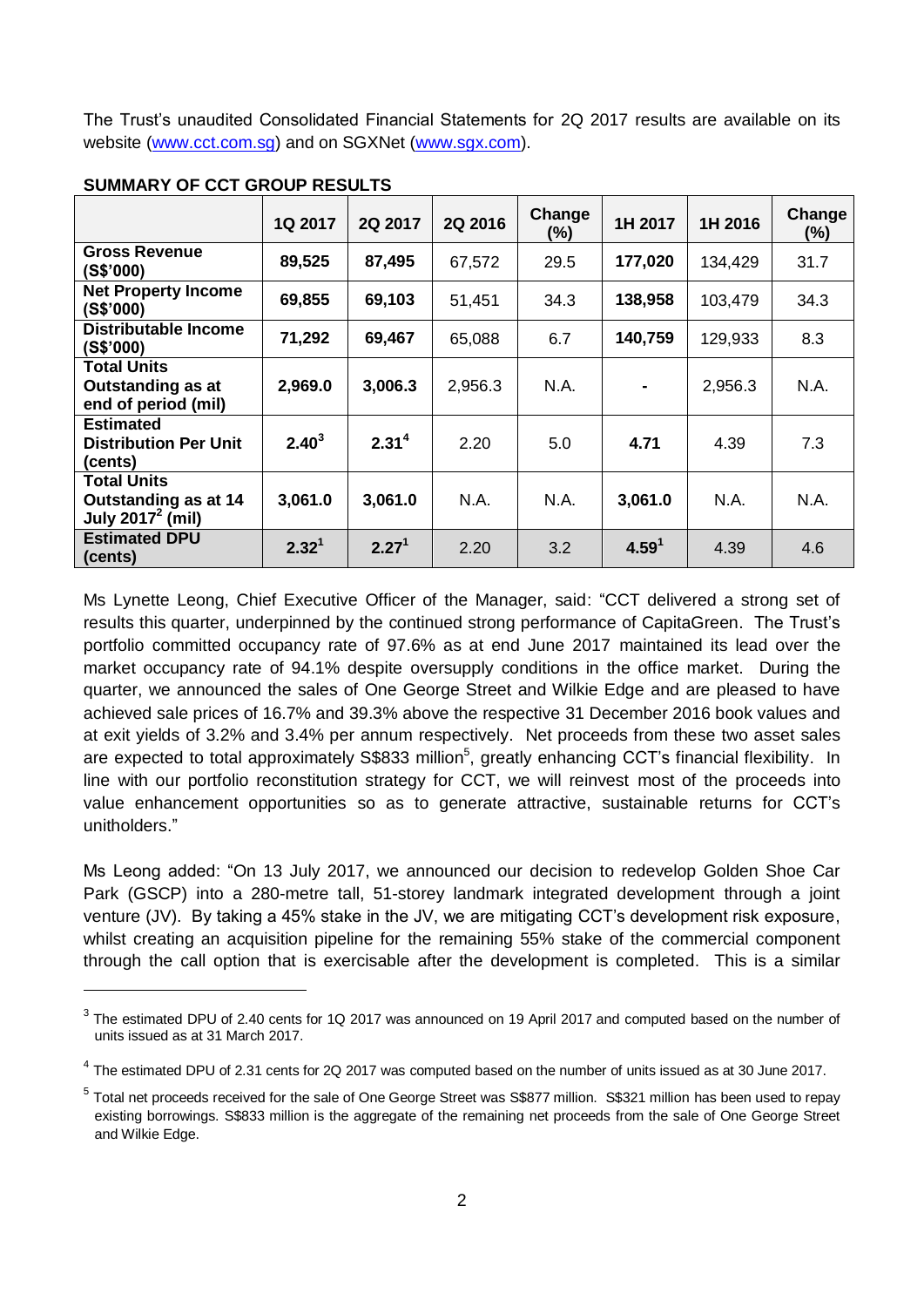The Trust's unaudited Consolidated Financial Statements for 2Q 2017 results are available on its website [\(www.cct.com.sg\)](http://www.cct.com.sg/) and on SGXNet [\(www.sgx.com\)](http://www.sgx.com/).

|                                                                       | 1Q 2017           | 2Q 2017           | 2Q 2016 | Change<br>$(\% )$ | 1H 2017           | 1H 2016 | Change<br>(%) |
|-----------------------------------------------------------------------|-------------------|-------------------|---------|-------------------|-------------------|---------|---------------|
| <b>Gross Revenue</b><br>(S\$'000)                                     | 89,525            | 87,495            | 67,572  | 29.5              | 177,020           | 134,429 | 31.7          |
| <b>Net Property Income</b><br>(S\$'000)                               | 69,855            | 69,103            | 51,451  | 34.3              | 138,958           | 103,479 | 34.3          |
| Distributable Income<br>(S\$'000)                                     | 71,292            | 69,467            | 65,088  | 6.7               | 140,759           | 129,933 | 8.3           |
| <b>Total Units</b><br><b>Outstanding as at</b><br>end of period (mil) | 2,969.0           | 3,006.3           | 2,956.3 | N.A.              | ۰                 | 2,956.3 | N.A.          |
| <b>Estimated</b><br><b>Distribution Per Unit</b><br>(cents)           | $2.40^{3}$        | 2.31 <sup>4</sup> | 2.20    | 5.0               | 4.71              | 4.39    | 7.3           |
| <b>Total Units</b><br>Outstanding as at 14<br>July $2017^2$ (mil)     | 3,061.0           | 3,061.0           | N.A.    | N.A.              | 3,061.0           | N.A.    | N.A.          |
| <b>Estimated DPU</b><br>(cents)                                       | 2.32 <sup>1</sup> | 2.27 <sup>1</sup> | 2.20    | 3.2               | 4.59 <sup>1</sup> | 4.39    | 4.6           |

#### **SUMMARY OF CCT GROUP RESULTS**

 $\overline{a}$ 

Ms Lynette Leong, Chief Executive Officer of the Manager, said: "CCT delivered a strong set of results this quarter, underpinned by the continued strong performance of CapitaGreen. The Trust's portfolio committed occupancy rate of 97.6% as at end June 2017 maintained its lead over the market occupancy rate of 94.1% despite oversupply conditions in the office market. During the quarter, we announced the sales of One George Street and Wilkie Edge and are pleased to have achieved sale prices of 16.7% and 39.3% above the respective 31 December 2016 book values and at exit yields of 3.2% and 3.4% per annum respectively. Net proceeds from these two asset sales are expected to total approximately S\$833 million<sup>5</sup>, greatly enhancing CCT's financial flexibility. In line with our portfolio reconstitution strategy for CCT, we will reinvest most of the proceeds into value enhancement opportunities so as to generate attractive, sustainable returns for CCT's unitholders."

Ms Leong added: "On 13 July 2017, we announced our decision to redevelop Golden Shoe Car Park (GSCP) into a 280-metre tall, 51-storey landmark integrated development through a joint venture (JV). By taking a 45% stake in the JV, we are mitigating CCT's development risk exposure, whilst creating an acquisition pipeline for the remaining 55% stake of the commercial component through the call option that is exercisable after the development is completed. This is a similar

 $3$  The estimated DPU of 2.40 cents for 1Q 2017 was announced on 19 April 2017 and computed based on the number of units issued as at 31 March 2017.

 $^4$  The estimated DPU of 2.31 cents for 2Q 2017 was computed based on the number of units issued as at 30 June 2017.

<sup>&</sup>lt;sup>5</sup> Total net proceeds received for the sale of One George Street was S\$877 million. S\$321 million has been used to repay existing borrowings. S\$833 million is the aggregate of the remaining net proceeds from the sale of One George Street and Wilkie Edge.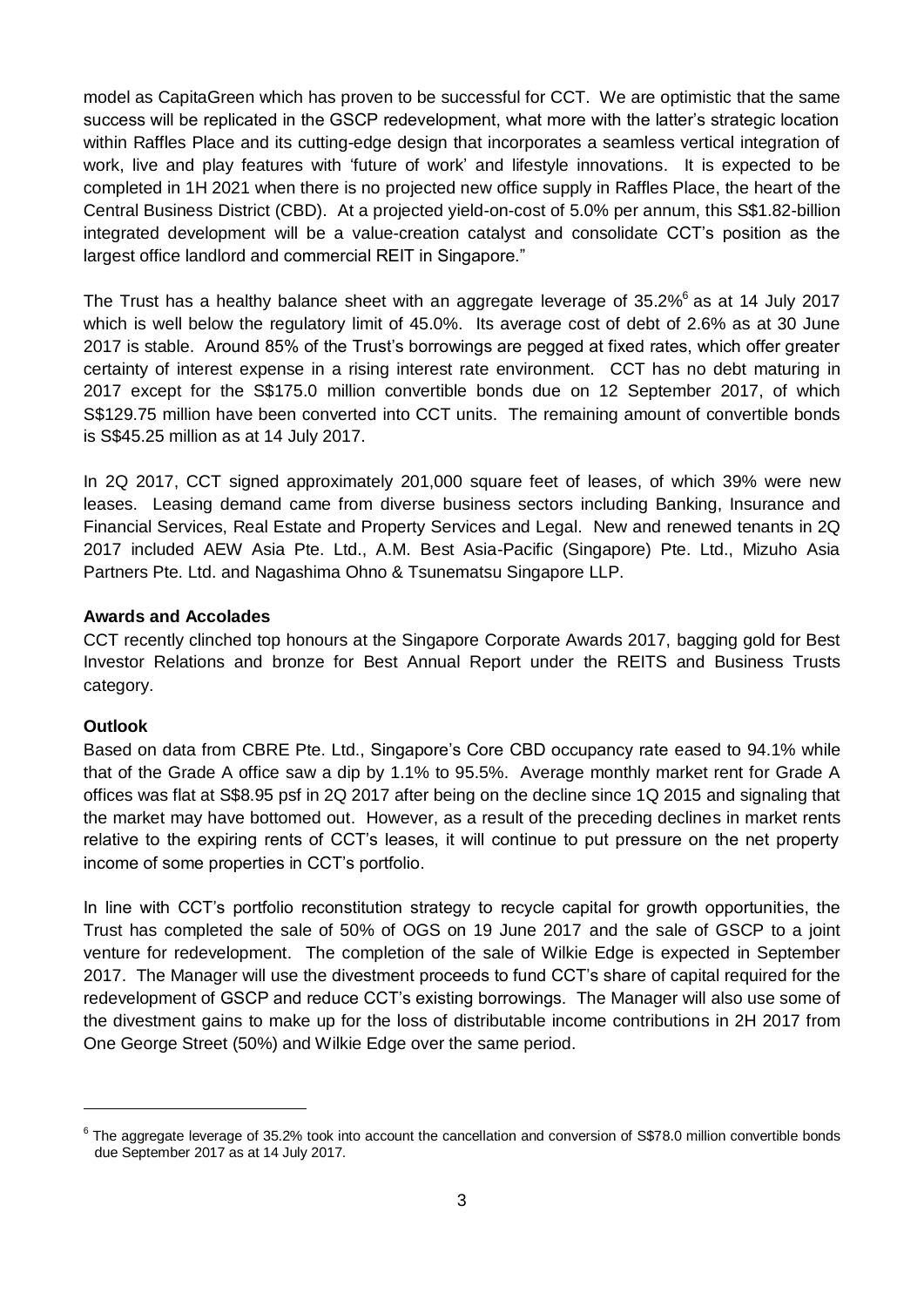model as CapitaGreen which has proven to be successful for CCT. We are optimistic that the same success will be replicated in the GSCP redevelopment, what more with the latter's strategic location within Raffles Place and its cutting-edge design that incorporates a seamless vertical integration of work, live and play features with 'future of work' and lifestyle innovations. It is expected to be completed in 1H 2021 when there is no projected new office supply in Raffles Place, the heart of the Central Business District (CBD). At a projected yield-on-cost of 5.0% per annum, this S\$1.82-billion integrated development will be a value-creation catalyst and consolidate CCT's position as the largest office landlord and commercial REIT in Singapore."

The Trust has a healthy balance sheet with an aggregate leverage of 35.2%<sup>6</sup> as at 14 July 2017 which is well below the regulatory limit of 45.0%. Its average cost of debt of 2.6% as at 30 June 2017 is stable. Around 85% of the Trust's borrowings are pegged at fixed rates, which offer greater certainty of interest expense in a rising interest rate environment. CCT has no debt maturing in 2017 except for the S\$175.0 million convertible bonds due on 12 September 2017, of which S\$129.75 million have been converted into CCT units. The remaining amount of convertible bonds is S\$45.25 million as at 14 July 2017.

In 2Q 2017, CCT signed approximately 201,000 square feet of leases, of which 39% were new leases. Leasing demand came from diverse business sectors including Banking, Insurance and Financial Services, Real Estate and Property Services and Legal. New and renewed tenants in 2Q 2017 included AEW Asia Pte. Ltd., A.M. Best Asia-Pacific (Singapore) Pte. Ltd., Mizuho Asia Partners Pte. Ltd. and Nagashima Ohno & Tsunematsu Singapore LLP.

## **Awards and Accolades**

CCT recently clinched top honours at the Singapore Corporate Awards 2017, bagging gold for Best Investor Relations and bronze for Best Annual Report under the REITS and Business Trusts category.

## **Outlook**

 $\overline{a}$ 

Based on data from CBRE Pte. Ltd., Singapore's Core CBD occupancy rate eased to 94.1% while that of the Grade A office saw a dip by 1.1% to 95.5%. Average monthly market rent for Grade A offices was flat at S\$8.95 psf in 2Q 2017 after being on the decline since 1Q 2015 and signaling that the market may have bottomed out. However, as a result of the preceding declines in market rents relative to the expiring rents of CCT's leases, it will continue to put pressure on the net property income of some properties in CCT's portfolio.

In line with CCT's portfolio reconstitution strategy to recycle capital for growth opportunities, the Trust has completed the sale of 50% of OGS on 19 June 2017 and the sale of GSCP to a joint venture for redevelopment. The completion of the sale of Wilkie Edge is expected in September 2017. The Manager will use the divestment proceeds to fund CCT's share of capital required for the redevelopment of GSCP and reduce CCT's existing borrowings. The Manager will also use some of the divestment gains to make up for the loss of distributable income contributions in 2H 2017 from One George Street (50%) and Wilkie Edge over the same period.

 $6$  The aggregate leverage of 35.2% took into account the cancellation and conversion of S\$78.0 million convertible bonds due September 2017 as at 14 July 2017.